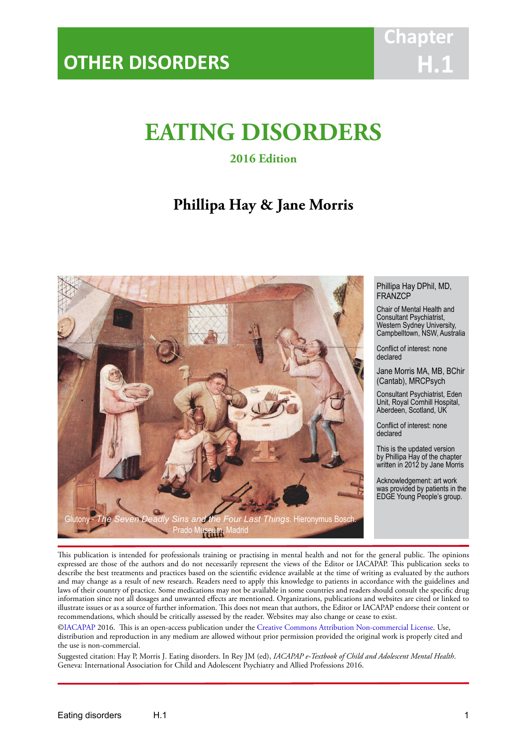# **EATING DISORDERS**

IACAPAP Textbook of Child and Adolescent Mental Health

**2016 Edition**

# **Phillipa Hay & Jane Morris**



Phillipa Hay DPhil, MD, FRANZCP

Chair of Mental Health and Consultant Psychiatrist, Western Sydney University, Campbelltown, NSW, Australia

Conflict of interest: none declared

Jane Morris MA, MB, BChir (Cantab), MRCPsych

Consultant Psychiatrist, Eden Unit, Royal Cornhill Hospital, Aberdeen, Scotland, UK

Conflict of interest: none declared

This is the updated version by Phillipa Hay of the chapter written in 2012 by Jane Morris

Acknowledgement: art work was provided by patients in the EDGE Young People's group.

This publication is intended for professionals training or practising in mental health and not for the general public. The opinions expressed are those of the authors and do not necessarily represent the views of the Editor or IACAPAP. This publication seeks to describe the best treatments and practices based on the scientific evidence available at the time of writing as evaluated by the authors and may change as a result of new research. Readers need to apply this knowledge to patients in accordance with the guidelines and laws of their country of practice. Some medications may not be available in some countries and readers should consult the specific drug information since not all dosages and unwanted effects are mentioned. Organizations, publications and websites are cited or linked to illustrate issues or as a source of further information. This does not mean that authors, the Editor or IACAPAP endorse their content or recommendations, which should be critically assessed by the reader. Websites may also change or cease to exist.

[©IACAPAP](http://iacapap.org/) 2016. This is an open-access publication under the [Creative Commons Attribution Non-commercial License](http://creativecommons.org/licenses/by-nc/2.0/). Use, distribution and reproduction in any medium are allowed without prior permission provided the original work is properly cited and the use is non-commercial.

Suggested citation: Hay P, Morris J. Eating disorders. In Rey JM (ed), *IACAPAP e-Textbook of Child and Adolescent Mental Health*. Geneva: International Association for Child and Adolescent Psychiatry and Allied Professions 2016.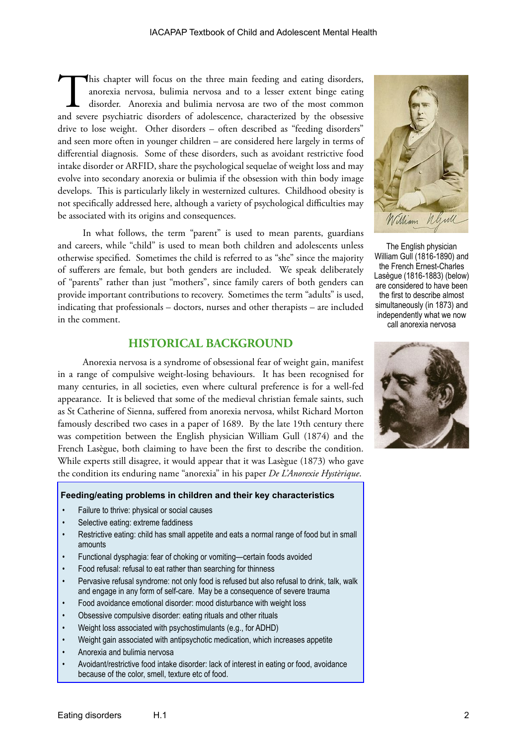This chapter will focus on the three main feeding and eating disorders, anorexia nervosa, bulimia nervosa and to a lesser extent binge eating disorder. Anorexia and bulimia nervosa are two of the most common and severe psy anorexia nervosa, bulimia nervosa and to a lesser extent binge eating disorder. Anorexia and bulimia nervosa are two of the most common drive to lose weight. Other disorders – often described as "feeding disorders" and seen more often in younger children – are considered here largely in terms of differential diagnosis. Some of these disorders, such as avoidant restrictive food intake disorder or ARFID, share the psychological sequelae of weight loss and may evolve into secondary anorexia or bulimia if the obsession with thin body image develops. This is particularly likely in westernized cultures. Childhood obesity is not specifically addressed here, although a variety of psychological difficulties may be associated with its origins and consequences.

In what follows, the term "parent" is used to mean parents, guardians and careers, while "child" is used to mean both children and adolescents unless otherwise specified. Sometimes the child is referred to as "she" since the majority of sufferers are female, but both genders are included. We speak deliberately of "parents" rather than just "mothers", since family carers of both genders can provide important contributions to recovery. Sometimes the term "adults" is used, indicating that professionals – doctors, nurses and other therapists – are included in the comment.

# **HISTORICAL BACKGROUND**

Anorexia nervosa is a syndrome of obsessional fear of weight gain, manifest in a range of compulsive weight-losing behaviours. It has been recognised for many centuries, in all societies, even where cultural preference is for a well-fed appearance. It is believed that some of the medieval christian female saints, such as St Catherine of Sienna, suffered from anorexia nervosa, whilst Richard Morton famously described two cases in a paper of 1689. By the late 19th century there was competition between the English physician William Gull (1874) and the French Lasègue, both claiming to have been the first to describe the condition. While experts still disagree, it would appear that it was Lasègue (1873) who gave the condition its enduring name "anorexia" in his paper *De L'Anorexie Hystèrique*.

#### **Feeding/eating problems in children and their key characteristics**

- Failure to thrive: physical or social causes
- Selective eating: extreme faddiness
- Restrictive eating: child has small appetite and eats a normal range of food but in small amounts
- Functional dysphagia: fear of choking or vomiting—certain foods avoided
- Food refusal: refusal to eat rather than searching for thinness
- Pervasive refusal syndrome: not only food is refused but also refusal to drink, talk, walk and engage in any form of self-care. May be a consequence of severe trauma
- Food avoidance emotional disorder: mood disturbance with weight loss
- Obsessive compulsive disorder: eating rituals and other rituals
- Weight loss associated with psychostimulants (e.g., for ADHD)
- Weight gain associated with antipsychotic medication, which increases appetite
- Anorexia and bulimia nervosa
- Avoidant/restrictive food intake disorder: lack of interest in eating or food, avoidance because of the color, smell, texture etc of food.



The English physician William Gull (1816-1890) and the French Ernest-Charles Lasègue (1816-1883) (below) are considered to have been the first to describe almost simultaneously (in 1873) and independently what we now call anorexia nervosa

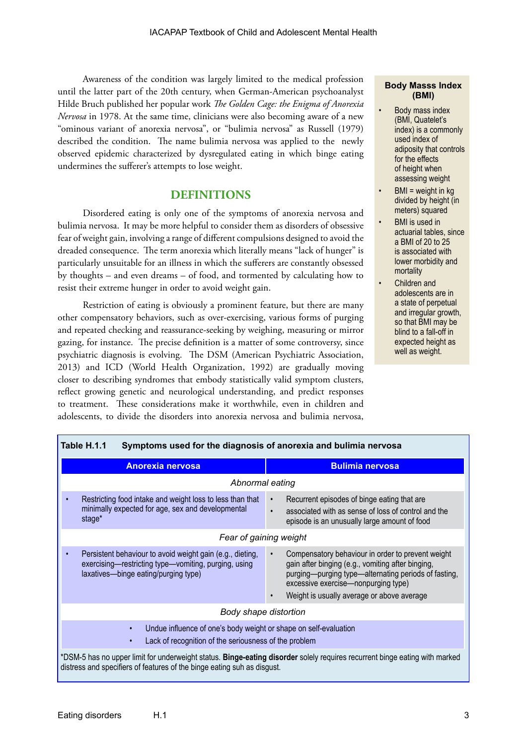Awareness of the condition was largely limited to the medical profession until the latter part of the 20th century, when German-American psychoanalyst Hilde Bruch published her popular work *The Golden Cage: the Enigma of Anorexia Nervosa* in 1978. At the same time, clinicians were also becoming aware of a new "ominous variant of anorexia nervosa", or "bulimia nervosa" as Russell (1979) described the condition. The name bulimia nervosa was applied to the newly observed epidemic characterized by dysregulated eating in which binge eating undermines the sufferer's attempts to lose weight.

# **DEFINITIONS**

Disordered eating is only one of the symptoms of anorexia nervosa and bulimia nervosa. It may be more helpful to consider them as disorders of obsessive fear of weight gain, involving a range of different compulsions designed to avoid the dreaded consequence. The term anorexia which literally means "lack of hunger" is particularly unsuitable for an illness in which the sufferers are constantly obsessed by thoughts – and even dreams – of food, and tormented by calculating how to resist their extreme hunger in order to avoid weight gain.

Restriction of eating is obviously a prominent feature, but there are many other compensatory behaviors, such as over-exercising, various forms of purging and repeated checking and reassurance-seeking by weighing, measuring or mirror gazing, for instance. The precise definition is a matter of some controversy, since psychiatric diagnosis is evolving. The DSM (American Psychiatric Association, 2013) and ICD (World Health Organization, 1992) are gradually moving closer to describing syndromes that embody statistically valid symptom clusters, reflect growing genetic and neurological understanding, and predict responses to treatment. These considerations make it worthwhile, even in children and adolescents, to divide the disorders into anorexia nervosa and bulimia nervosa,

#### **Body Masss Index (BMI)**

- Body mass index (BMI, Quatelet's index) is a commonly used index of adiposity that controls for the effects of height when assessing weight
- BMI = weight in kg divided by height (in meters) squared
- **BMI** is used in actuarial tables, since a BMI of 20 to 25 is associated with lower morbidity and mortality
- Children and adolescents are in a state of perpetual and irregular growth, so that BMI may be blind to a fall-off in expected height as well as weight.

| Table H.1.1<br>Symptoms used for the diagnosis of anorexia and bulimia nervosa                                                                                                                        |                                                                                                                                                                                                                                                     |  |  |  |  |
|-------------------------------------------------------------------------------------------------------------------------------------------------------------------------------------------------------|-----------------------------------------------------------------------------------------------------------------------------------------------------------------------------------------------------------------------------------------------------|--|--|--|--|
| <b>Anorexia nervosa</b>                                                                                                                                                                               | <b>Bulimia nervosa</b>                                                                                                                                                                                                                              |  |  |  |  |
| Abnormal eating                                                                                                                                                                                       |                                                                                                                                                                                                                                                     |  |  |  |  |
| Restricting food intake and weight loss to less than that<br>minimally expected for age, sex and developmental<br>stage*                                                                              | Recurrent episodes of binge eating that are<br>$\bullet$<br>associated with as sense of loss of control and the<br>$\bullet$<br>episode is an unusually large amount of food                                                                        |  |  |  |  |
| Fear of gaining weight                                                                                                                                                                                |                                                                                                                                                                                                                                                     |  |  |  |  |
| Persistent behaviour to avoid weight gain (e.g., dieting,<br>exercising—restricting type—vomiting, purging, using<br>laxatives-binge eating/purging type)                                             | Compensatory behaviour in order to prevent weight<br>gain after binging (e.g., vomiting after binging,<br>purging-purging type-alternating periods of fasting,<br>excessive exercise-nonpurging type)<br>Weight is usually average or above average |  |  |  |  |
| Body shape distortion                                                                                                                                                                                 |                                                                                                                                                                                                                                                     |  |  |  |  |
| Undue influence of one's body weight or shape on self-evaluation<br>$\bullet$<br>Lack of recognition of the seriousness of the problem<br>$\bullet$                                                   |                                                                                                                                                                                                                                                     |  |  |  |  |
| *DSM-5 has no upper limit for underweight status. Binge-eating disorder solely requires recurrent binge eating with marked<br>distress and specifiers of features of the binge eating suh as disgust. |                                                                                                                                                                                                                                                     |  |  |  |  |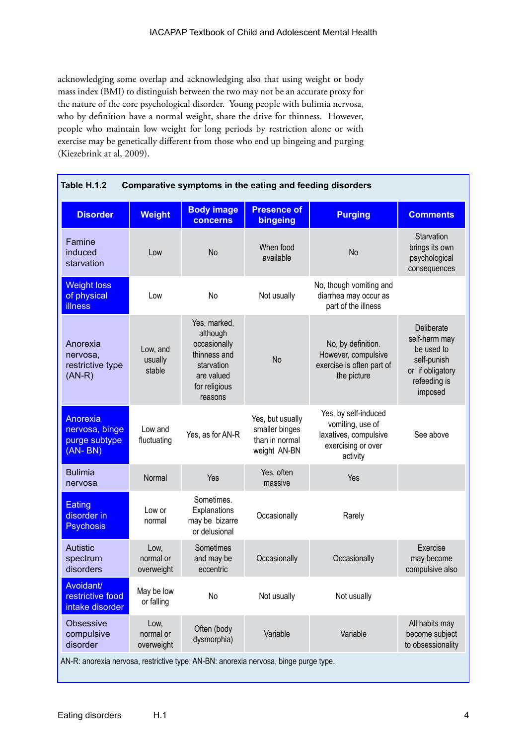acknowledging some overlap and acknowledging also that using weight or body mass index (BMI) to distinguish between the two may not be an accurate proxy for the nature of the core psychological disorder. Young people with bulimia nervosa, who by definition have a normal weight, share the drive for thinness. However, people who maintain low weight for long periods by restriction alone or with exercise may be genetically different from those who end up bingeing and purging (Kiezebrink at al, 2009).

| <b>Disorder</b>                                                 | <b>Weight</b>                   | <b>Body image</b><br><b>concerns</b>                                                                             | <b>Presence of</b><br>bingeing                                       | <b>Purging</b>                                                                                      | <b>Comments</b>                                                                                         |
|-----------------------------------------------------------------|---------------------------------|------------------------------------------------------------------------------------------------------------------|----------------------------------------------------------------------|-----------------------------------------------------------------------------------------------------|---------------------------------------------------------------------------------------------------------|
| Famine<br>induced<br>starvation                                 | Low                             | <b>No</b>                                                                                                        | When food<br>available                                               | <b>No</b>                                                                                           | Starvation<br>brings its own<br>psychological<br>consequences                                           |
| <b>Weight loss</b><br>of physical<br><b>illness</b>             | Low                             | No                                                                                                               | Not usually                                                          | No, though vomiting and<br>diarrhea may occur as<br>part of the illness                             |                                                                                                         |
| Anorexia<br>nervosa,<br>restrictive type<br>$(AN-R)$            | Low, and<br>usually<br>stable   | Yes, marked,<br>although<br>occasionally<br>thinness and<br>starvation<br>are valued<br>for religious<br>reasons | <b>No</b>                                                            | No, by definition.<br>However, compulsive<br>exercise is often part of<br>the picture               | Deliberate<br>self-harm may<br>be used to<br>self-punish<br>or if obligatory<br>refeeding is<br>imposed |
| <b>Anorexia</b><br>nervosa, binge<br>purge subtype<br>$(AN-BN)$ | Low and<br>fluctuating          | Yes, as for AN-R                                                                                                 | Yes, but usually<br>smaller binges<br>than in normal<br>weight AN-BN | Yes, by self-induced<br>vomiting, use of<br>laxatives, compulsive<br>exercising or over<br>activity | See above                                                                                               |
| <b>Bulimia</b><br>nervosa                                       | Normal                          | Yes                                                                                                              | Yes, often<br>massive                                                | Yes                                                                                                 |                                                                                                         |
| Eating<br>disorder in<br><b>Psychosis</b>                       | Low or<br>normal                | Sometimes.<br>Explanations<br>may be bizarre<br>or delusional                                                    | Occasionally                                                         | Rarely                                                                                              |                                                                                                         |
| <b>Autistic</b><br>spectrum<br>disorders                        | Low,<br>normal or<br>overweight | Sometimes<br>and may be<br>eccentric                                                                             | Occasionally                                                         | Occasionally                                                                                        | Exercise<br>may become<br>compulsive also                                                               |
| Avoidant/<br>restrictive food<br>intake disorder                | May be low<br>or falling        | No                                                                                                               | Not usually                                                          | Not usually                                                                                         |                                                                                                         |
| <b>Obsessive</b><br>compulsive<br>disorder                      | Low,<br>normal or<br>overweight | Often (body<br>dysmorphia)                                                                                       | Variable                                                             | Variable                                                                                            | All habits may<br>become subject<br>to obsessionality                                                   |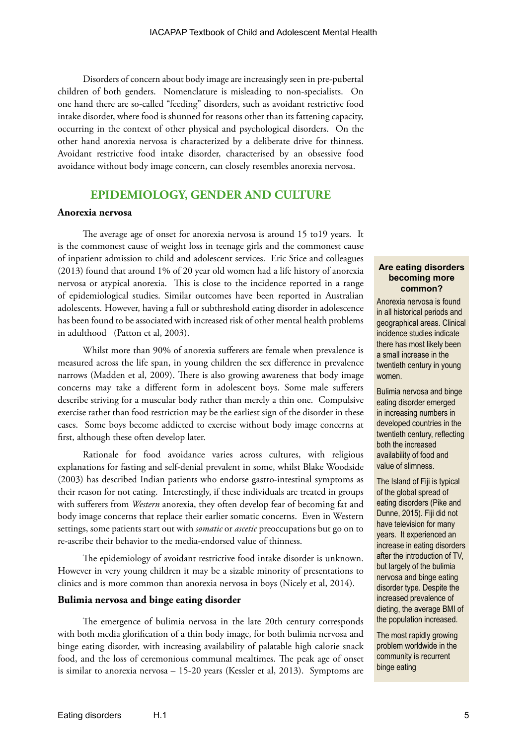Disorders of concern about body image are increasingly seen in pre-pubertal children of both genders. Nomenclature is misleading to non-specialists. On one hand there are so-called "feeding" disorders, such as avoidant restrictive food intake disorder, where food is shunned for reasons other than its fattening capacity, occurring in the context of other physical and psychological disorders. On the other hand anorexia nervosa is characterized by a deliberate drive for thinness. Avoidant restrictive food intake disorder, characterised by an obsessive food avoidance without body image concern, can closely resembles anorexia nervosa.

# **EPIDEMIOLOGY, GENDER AND CULTURE**

#### **Anorexia nervosa**

The average age of onset for anorexia nervosa is around 15 to19 years. It is the commonest cause of weight loss in teenage girls and the commonest cause of inpatient admission to child and adolescent services. Eric Stice and colleagues (2013) found that around 1% of 20 year old women had a life history of anorexia nervosa or atypical anorexia. This is close to the incidence reported in a range of epidemiological studies. Similar outcomes have been reported in Australian adolescents. However, having a full or subthreshold eating disorder in adolescence has been found to be associated with increased risk of other mental health problems in adulthood (Patton et al, 2003).

Whilst more than 90% of anorexia sufferers are female when prevalence is measured across the life span, in young children the sex difference in prevalence narrows (Madden et al, 2009). There is also growing awareness that body image concerns may take a different form in adolescent boys. Some male sufferers describe striving for a muscular body rather than merely a thin one. Compulsive exercise rather than food restriction may be the earliest sign of the disorder in these cases. Some boys become addicted to exercise without body image concerns at first, although these often develop later.

Rationale for food avoidance varies across cultures, with religious explanations for fasting and self-denial prevalent in some, whilst Blake Woodside (2003) has described Indian patients who endorse gastro-intestinal symptoms as their reason for not eating. Interestingly, if these individuals are treated in groups with sufferers from *Western* anorexia, they often develop fear of becoming fat and body image concerns that replace their earlier somatic concerns. Even in Western settings, some patients start out with *somatic* or *ascetic* preoccupations but go on to re-ascribe their behavior to the media-endorsed value of thinness.

The epidemiology of avoidant restrictive food intake disorder is unknown. However in very young children it may be a sizable minority of presentations to clinics and is more common than anorexia nervosa in boys (Nicely et al, 2014).

#### **Bulimia nervosa and binge eating disorder**

The emergence of bulimia nervosa in the late 20th century corresponds with both media glorification of a thin body image, for both bulimia nervosa and binge eating disorder, with increasing availability of palatable high calorie snack food, and the loss of ceremonious communal mealtimes. The peak age of onset is similar to anorexia nervosa – 15-20 years (Kessler et al, 2013). Symptoms are

#### **Are eating disorders becoming more common?**

Anorexia nervosa is found in all historical periods and geographical areas. Clinical incidence studies indicate there has most likely been a small increase in the twentieth century in young women.

Bulimia nervosa and binge eating disorder emerged in increasing numbers in developed countries in the twentieth century, reflecting both the increased availability of food and value of slimness.

The Island of Fiji is typical of the global spread of eating disorders (Pike and Dunne, 2015). Fiji did not have television for many years. It experienced an increase in eating disorders after the introduction of TV, but largely of the bulimia nervosa and binge eating disorder type. Despite the increased prevalence of dieting, the average BMI of the population increased.

The most rapidly growing problem worldwide in the community is recurrent binge eating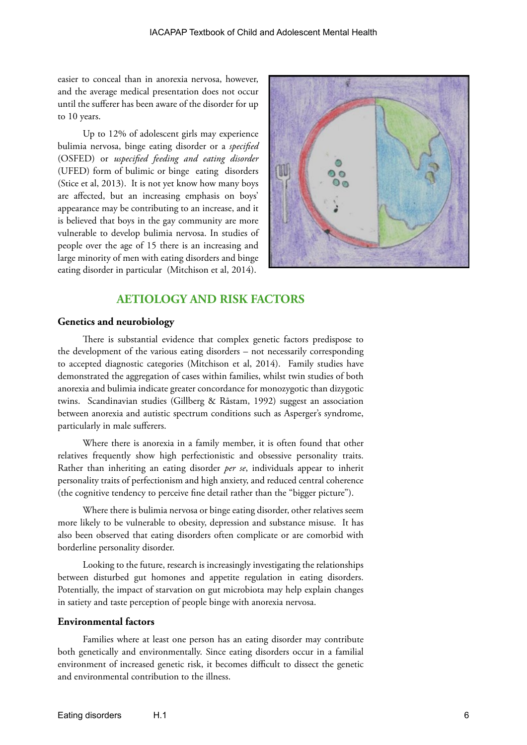easier to conceal than in anorexia nervosa, however, and the average medical presentation does not occur until the sufferer has been aware of the disorder for up to 10 years.

Up to 12% of adolescent girls may experience bulimia nervosa, binge eating disorder or a *specified*  (OSFED) or *uspecified feeding and eating disorder* (UFED) form of bulimic or binge eating disorders (Stice et al, 2013). It is not yet know how many boys are affected, but an increasing emphasis on boys' appearance may be contributing to an increase, and it is believed that boys in the gay community are more vulnerable to develop bulimia nervosa. In studies of people over the age of 15 there is an increasing and large minority of men with eating disorders and binge eating disorder in particular (Mitchison et al, 2014).



# **AETIOLOGY AND RISK FACTORS**

#### **Genetics and neurobiology**

There is substantial evidence that complex genetic factors predispose to the development of the various eating disorders – not necessarily corresponding to accepted diagnostic categories (Mitchison et al, 2014). Family studies have demonstrated the aggregation of cases within families, whilst twin studies of both anorexia and bulimia indicate greater concordance for monozygotic than dizygotic twins. Scandinavian studies (Gillberg & Råstam, 1992) suggest an association between anorexia and autistic spectrum conditions such as Asperger's syndrome, particularly in male sufferers.

Where there is anorexia in a family member, it is often found that other relatives frequently show high perfectionistic and obsessive personality traits. Rather than inheriting an eating disorder *per se*, individuals appear to inherit personality traits of perfectionism and high anxiety, and reduced central coherence (the cognitive tendency to perceive fine detail rather than the "bigger picture").

Where there is bulimia nervosa or binge eating disorder, other relatives seem more likely to be vulnerable to obesity, depression and substance misuse. It has also been observed that eating disorders often complicate or are comorbid with borderline personality disorder.

Looking to the future, research is increasingly investigating the relationships between disturbed gut homones and appetite regulation in eating disorders. Potentially, the impact of starvation on gut microbiota may help explain changes in satiety and taste perception of people binge with anorexia nervosa.

#### **Environmental factors**

Families where at least one person has an eating disorder may contribute both genetically and environmentally. Since eating disorders occur in a familial environment of increased genetic risk, it becomes difficult to dissect the genetic and environmental contribution to the illness.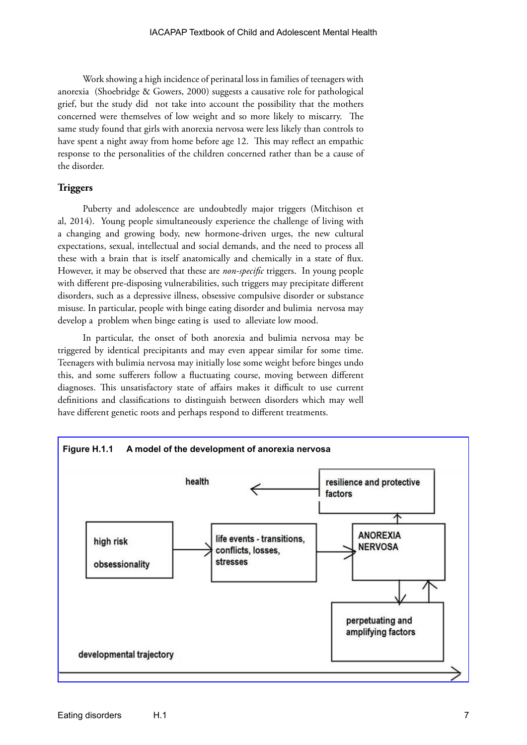Work showing a high incidence of perinatal loss in families of teenagers with anorexia (Shoebridge & Gowers, 2000) suggests a causative role for pathological grief, but the study did not take into account the possibility that the mothers concerned were themselves of low weight and so more likely to miscarry. The same study found that girls with anorexia nervosa were less likely than controls to have spent a night away from home before age 12. This may reflect an empathic response to the personalities of the children concerned rather than be a cause of the disorder.

#### **Triggers**

Puberty and adolescence are undoubtedly major triggers (Mitchison et al, 2014). Young people simultaneously experience the challenge of living with a changing and growing body, new hormone-driven urges, the new cultural expectations, sexual, intellectual and social demands, and the need to process all these with a brain that is itself anatomically and chemically in a state of flux. However, it may be observed that these are *non-specific* triggers. In young people with different pre-disposing vulnerabilities, such triggers may precipitate different disorders, such as a depressive illness, obsessive compulsive disorder or substance misuse. In particular, people with binge eating disorder and bulimia nervosa may develop a problem when binge eating is used to alleviate low mood.

In particular, the onset of both anorexia and bulimia nervosa may be triggered by identical precipitants and may even appear similar for some time. Teenagers with bulimia nervosa may initially lose some weight before binges undo this, and some sufferers follow a fluctuating course, moving between different diagnoses. This unsatisfactory state of affairs makes it difficult to use current definitions and classifications to distinguish between disorders which may well have different genetic roots and perhaps respond to different treatments.

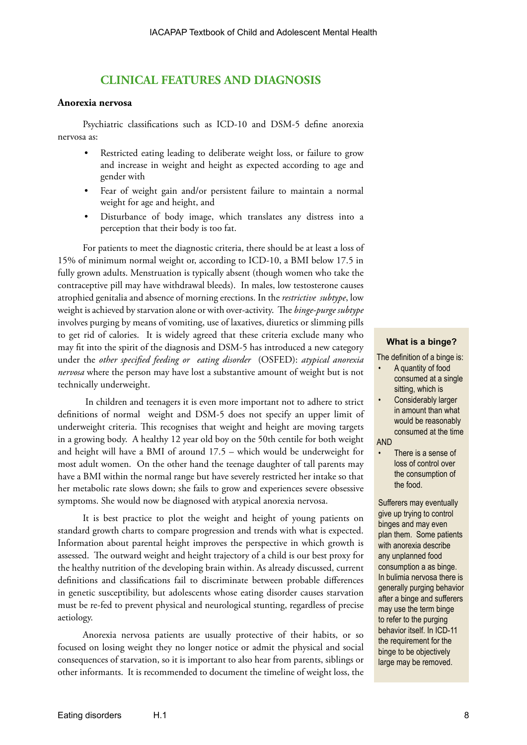## **CLINICAL FEATURES AND DIAGNOSIS**

#### **Anorexia nervosa**

Psychiatric classifications such as ICD-10 and DSM-5 define anorexia nervosa as:

- Restricted eating leading to deliberate weight loss, or failure to grow and increase in weight and height as expected according to age and gender with
- Fear of weight gain and/or persistent failure to maintain a normal weight for age and height, and
- Disturbance of body image, which translates any distress into a perception that their body is too fat.

For patients to meet the diagnostic criteria, there should be at least a loss of 15% of minimum normal weight or, according to ICD-10, a BMI below 17.5 in fully grown adults. Menstruation is typically absent (though women who take the contraceptive pill may have withdrawal bleeds). In males, low testosterone causes atrophied genitalia and absence of morning erections. In the *restrictive subtype*, low weight is achieved by starvation alone or with over-activity. The *binge-purge subtype* involves purging by means of vomiting, use of laxatives, diuretics or slimming pills to get rid of calories. It is widely agreed that these criteria exclude many who may fit into the spirit of the diagnosis and DSM-5 has introduced a new category under the *other specified feeding or eating disorder* (OSFED): *atypical anorexia nervosa* where the person may have lost a substantive amount of weight but is not technically underweight.

 In children and teenagers it is even more important not to adhere to strict definitions of normal weight and DSM-5 does not specify an upper limit of underweight criteria. This recognises that weight and height are moving targets in a growing body. A healthy 12 year old boy on the 50th centile for both weight and height will have a BMI of around 17.5 – which would be underweight for most adult women. On the other hand the teenage daughter of tall parents may have a BMI within the normal range but have severely restricted her intake so that her metabolic rate slows down; she fails to grow and experiences severe obsessive symptoms. She would now be diagnosed with atypical anorexia nervosa.

It is best practice to plot the weight and height of young patients on standard growth charts to compare progression and trends with what is expected. Information about parental height improves the perspective in which growth is assessed. The outward weight and height trajectory of a child is our best proxy for the healthy nutrition of the developing brain within. As already discussed, current definitions and classifications fail to discriminate between probable differences in genetic susceptibility, but adolescents whose eating disorder causes starvation must be re-fed to prevent physical and neurological stunting, regardless of precise aetiology.

Anorexia nervosa patients are usually protective of their habits, or so focused on losing weight they no longer notice or admit the physical and social consequences of starvation, so it is important to also hear from parents, siblings or other informants. It is recommended to document the timeline of weight loss, the

#### **What is a binge?**

The definition of a binge is:

- A quantity of food consumed at a single sitting, which is
- Considerably larger in amount than what would be reasonably consumed at the time

#### AND

There is a sense of loss of control over the consumption of the food.

Sufferers may eventually give up trying to control binges and may even plan them. Some patients with anorexia describe any unplanned food consumption a as binge. In bulimia nervosa there is generally purging behavior after a binge and sufferers may use the term binge to refer to the purging behavior itself. In ICD-11 the requirement for the binge to be objectively large may be removed.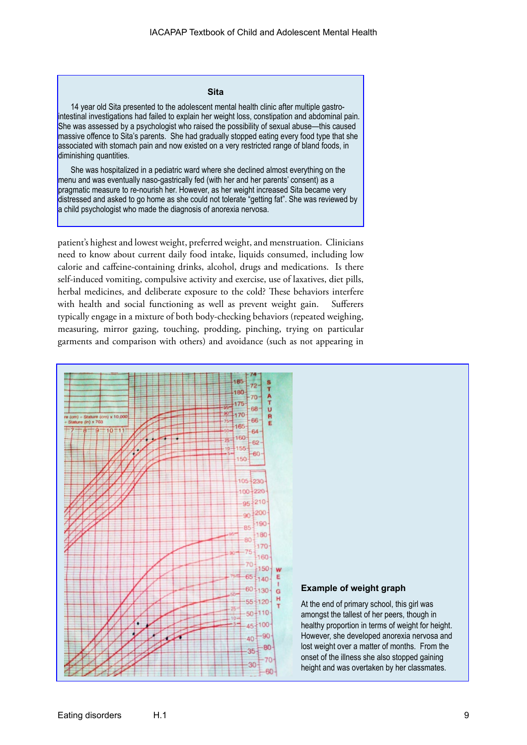#### **Sita**

14 year old Sita presented to the adolescent mental health clinic after multiple gastrointestinal investigations had failed to explain her weight loss, constipation and abdominal pain. She was assessed by a psychologist who raised the possibility of sexual abuse—this caused massive offence to Sita's parents. She had gradually stopped eating every food type that she associated with stomach pain and now existed on a very restricted range of bland foods, in diminishing quantities.

She was hospitalized in a pediatric ward where she declined almost everything on the menu and was eventually naso-gastrically fed (with her and her parents' consent) as a pragmatic measure to re-nourish her. However, as her weight increased Sita became very distressed and asked to go home as she could not tolerate "getting fat". She was reviewed by a child psychologist who made the diagnosis of anorexia nervosa.

patient's highest and lowest weight, preferred weight, and menstruation. Clinicians need to know about current daily food intake, liquids consumed, including low calorie and caffeine-containing drinks, alcohol, drugs and medications. Is there self-induced vomiting, compulsive activity and exercise, use of laxatives, diet pills, herbal medicines, and deliberate exposure to the cold? These behaviors interfere with health and social functioning as well as prevent weight gain. Sufferers typically engage in a mixture of both body-checking behaviors (repeated weighing, measuring, mirror gazing, touching, prodding, pinching, trying on particular garments and comparison with others) and avoidance (such as not appearing in

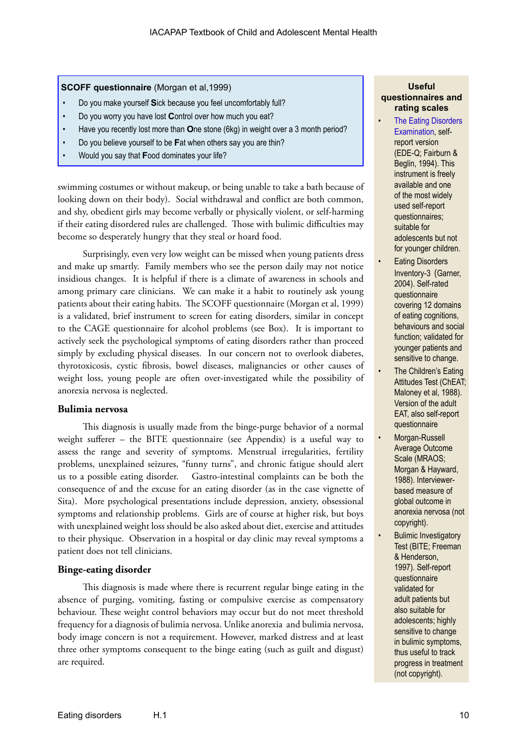**SCOFF questionnaire** (Morgan et al,1999)

- Do you make yourself **S**ick because you feel uncomfortably full?
- Do you worry you have lost **C**ontrol over how much you eat?
- Have you recently lost more than **O**ne stone (6kg) in weight over a 3 month period?
- Do you believe yourself to be **F**at when others say you are thin?
- Would you say that **F**ood dominates your life?

swimming costumes or without makeup, or being unable to take a bath because of looking down on their body). Social withdrawal and conflict are both common, and shy, obedient girls may become verbally or physically violent, or self-harming if their eating disordered rules are challenged. Those with bulimic difficulties may become so desperately hungry that they steal or hoard food.

Surprisingly, even very low weight can be missed when young patients dress and make up smartly. Family members who see the person daily may not notice insidious changes. It is helpful if there is a climate of awareness in schools and among primary care clinicians. We can make it a habit to routinely ask young patients about their eating habits. The SCOFF questionnaire (Morgan et al, 1999) is a validated, brief instrument to screen for eating disorders, similar in concept to the CAGE questionnaire for alcohol problems (see Box). It is important to actively seek the psychological symptoms of eating disorders rather than proceed simply by excluding physical diseases. In our concern not to overlook diabetes, thyrotoxicosis, cystic fibrosis, bowel diseases, malignancies or other causes of weight loss, young people are often over-investigated while the possibility of anorexia nervosa is neglected.

#### **Bulimia nervosa**

This diagnosis is usually made from the binge-purge behavior of a normal weight sufferer – the BITE questionnaire (see Appendix) is a useful way to assess the range and severity of symptoms. Menstrual irregularities, fertility problems, unexplained seizures, "funny turns", and chronic fatigue should alert us to a possible eating disorder. Gastro-intestinal complaints can be both the consequence of and the excuse for an eating disorder (as in the case vignette of Sita). More psychological presentations include depression, anxiety, obsessional symptoms and relationship problems. Girls are of course at higher risk, but boys with unexplained weight loss should be also asked about diet, exercise and attitudes to their physique. Observation in a hospital or day clinic may reveal symptoms a patient does not tell clinicians.

#### **Binge-eating disorder**

This diagnosis is made where there is recurrent regular binge eating in the absence of purging, vomiting, fasting or compulsive exercise as compensatory behaviour. These weight control behaviors may occur but do not meet threshold frequency for a diagnosis of bulimia nervosa. Unlike anorexia and bulimia nervosa, body image concern is not a requirement. However, marked distress and at least three other symptoms consequent to the binge eating (such as guilt and disgust) are required.

#### **Useful questionnaires and rating scales**

- **The Eating Disorders** [Examination](http://cedd.org.au/wordpress/wp-content/uploads/2014/09/Eating-Disorder-Examination-Questionnaire-EDE-Q.pdf), selfreport version (EDE-Q; Fairburn & Beglin, 1994). This instrument is freely available and one of the most widely used self-report questionnaires; suitable for adolescents but not for younger children.
- **Eating Disorders** Inventory-3 (Garner, 2004). Self-rated questionnaire covering 12 domains of eating cognitions, behaviours and social function; validated for younger patients and sensitive to change.
- The Children's Eating Attitudes Test (ChEAT; Maloney et al, 1988). Version of the adult EAT, also self-report questionnaire
- Morgan-Russell Average Outcome Scale (MRAOS; Morgan & Hayward, 1988). Interviewerbased measure of global outcome in anorexia nervosa (not copyright).
- **Bulimic Investigatory** Test (BITE; Freeman & Henderson, 1997). Self-report questionnaire validated for adult patients but also suitable for adolescents; highly sensitive to change in bulimic symptoms, thus useful to track progress in treatment (not copyright).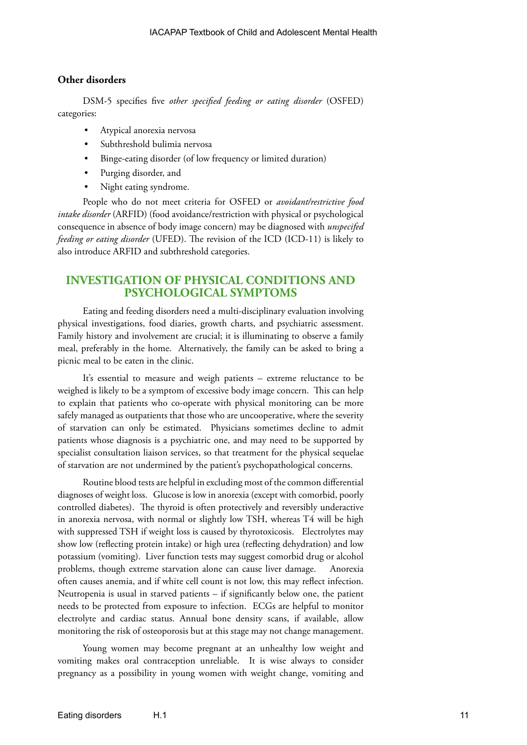#### **Other disorders**

DSM-5 specifies five *other specified feeding or eating disorder* (OSFED) categories:

- Atypical anorexia nervosa
- Subthreshold bulimia nervosa
- Binge-eating disorder (of low frequency or limited duration)
- Purging disorder, and
- Night eating syndrome.

People who do not meet criteria for OSFED or *avoidant/restrictive food intake disorder* (ARFID) (food avoidance/restriction with physical or psychological consequence in absence of body image concern) may be diagnosed with *unspecifed feeding or eating disorder* (UFED). The revision of the ICD (ICD-11) is likely to also introduce ARFID and subthreshold categories.

# **INVESTIGATION OF PHYSICAL CONDITIONS AND PSYCHOLOGICAL SYMPTOMS**

Eating and feeding disorders need a multi-disciplinary evaluation involving physical investigations, food diaries, growth charts, and psychiatric assessment. Family history and involvement are crucial; it is illuminating to observe a family meal, preferably in the home. Alternatively, the family can be asked to bring a picnic meal to be eaten in the clinic.

It's essential to measure and weigh patients – extreme reluctance to be weighed is likely to be a symptom of excessive body image concern. This can help to explain that patients who co-operate with physical monitoring can be more safely managed as outpatients that those who are uncooperative, where the severity of starvation can only be estimated. Physicians sometimes decline to admit patients whose diagnosis is a psychiatric one, and may need to be supported by specialist consultation liaison services, so that treatment for the physical sequelae of starvation are not undermined by the patient's psychopathological concerns.

Routine blood tests are helpful in excluding most of the common differential diagnoses of weight loss. Glucose is low in anorexia (except with comorbid, poorly controlled diabetes). The thyroid is often protectively and reversibly underactive in anorexia nervosa, with normal or slightly low TSH, whereas T4 will be high with suppressed TSH if weight loss is caused by thyrotoxicosis. Electrolytes may show low (reflecting protein intake) or high urea (reflecting dehydration) and low potassium (vomiting). Liver function tests may suggest comorbid drug or alcohol problems, though extreme starvation alone can cause liver damage. Anorexia often causes anemia, and if white cell count is not low, this may reflect infection. Neutropenia is usual in starved patients – if significantly below one, the patient needs to be protected from exposure to infection. ECGs are helpful to monitor electrolyte and cardiac status. Annual bone density scans, if available, allow monitoring the risk of osteoporosis but at this stage may not change management.

Young women may become pregnant at an unhealthy low weight and vomiting makes oral contraception unreliable. It is wise always to consider pregnancy as a possibility in young women with weight change, vomiting and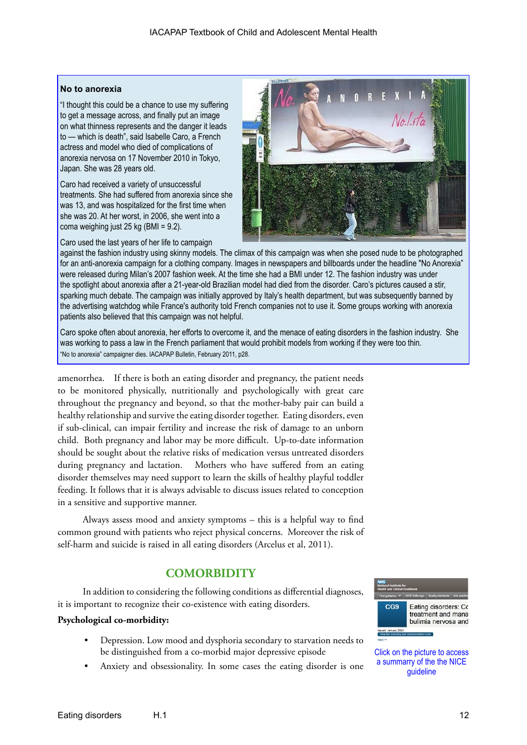#### **No to anorexia**

"I thought this could be a chance to use my suffering to get a message across, and finally put an image on what thinness represents and the danger it leads to — which is death", said Isabelle Caro, a French actress and model who died of complications of anorexia nervosa on 17 November 2010 in Tokyo, Japan. She was 28 years old.

Caro had received a variety of unsuccessful treatments. She had suffered from anorexia since she was 13, and was hospitalized for the first time when she was 20. At her worst, in 2006, she went into a coma weighing just 25 kg (BMI = 9.2).

Caro used the last years of her life to campaign



against the fashion industry using skinny models. The climax of this campaign was when she posed nude to be photographed for an anti-anorexia campaign for a clothing company. Images in newspapers and billboards under the headline "No Anorexia" were released during Milan's 2007 fashion week. At the time she had a BMI under 12. The fashion industry was under the spotlight about anorexia after a 21-year-old Brazilian model had died from the disorder. Caro's pictures caused a stir, sparking much debate. The campaign was initially approved by Italy's health department, but was subsequently banned by the advertising watchdog while France's authority told French companies not to use it. Some groups working with anorexia patients also believed that this campaign was not helpful.

Caro spoke often about anorexia, her efforts to overcome it, and the menace of eating disorders in the fashion industry. She was working to pass a law in the French parliament that would prohibit models from working if they were too thin. "No to anorexia" campaigner dies. IACAPAP Bulletin, February 2011, p28.

amenorrhea. If there is both an eating disorder and pregnancy, the patient needs to be monitored physically, nutritionally and psychologically with great care throughout the pregnancy and beyond, so that the mother-baby pair can build a healthy relationship and survive the eating disorder together. Eating disorders, even if sub-clinical, can impair fertility and increase the risk of damage to an unborn child. Both pregnancy and labor may be more difficult. Up-to-date information should be sought about the relative risks of medication versus untreated disorders during pregnancy and lactation. Mothers who have suffered from an eating disorder themselves may need support to learn the skills of healthy playful toddler feeding. It follows that it is always advisable to discuss issues related to conception in a sensitive and supportive manner.

Always assess mood and anxiety symptoms – this is a helpful way to find common ground with patients who reject physical concerns. Moreover the risk of self-harm and suicide is raised in all eating disorders (Arcelus et al, 2011).

# **COMORBIDITY**

In addition to considering the following conditions as differential diagnoses, it is important to recognize their co-existence with eating disorders.

#### **Psychological co-morbidity:**

- Depression. Low mood and dysphoria secondary to starvation needs to be distinguished from a co-morbid major depressive episode
- Anxiety and obsessionality. In some cases the eating disorder is one



Click on the picture to access a summarry of the the NICE guideline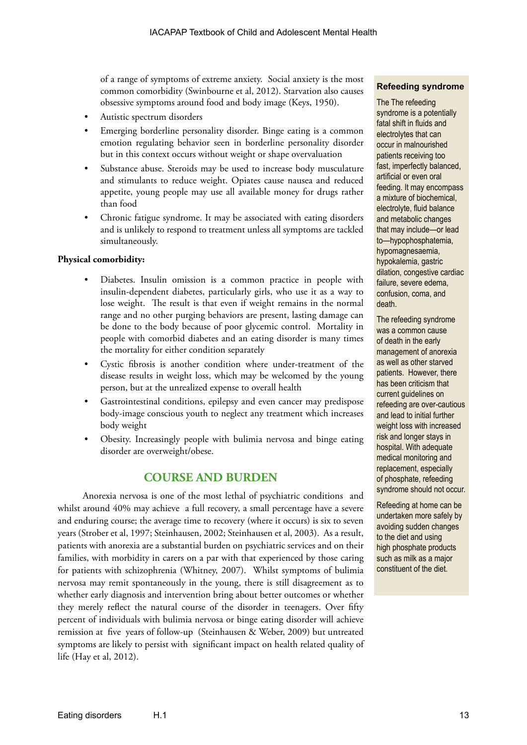of a range of symptoms of extreme anxiety. Social anxiety is the most common comorbidity (Swinbourne et al, 2012). Starvation also causes obsessive symptoms around food and body image (Keys, 1950).

- Autistic spectrum disorders
- Emerging borderline personality disorder. Binge eating is a common emotion regulating behavior seen in borderline personality disorder but in this context occurs without weight or shape overvaluation
- Substance abuse. Steroids may be used to increase body musculature and stimulants to reduce weight. Opiates cause nausea and reduced appetite, young people may use all available money for drugs rather than food
- Chronic fatigue syndrome. It may be associated with eating disorders and is unlikely to respond to treatment unless all symptoms are tackled simultaneously.

#### **Physical comorbidity:**

- Diabetes. Insulin omission is a common practice in people with insulin-dependent diabetes, particularly girls, who use it as a way to lose weight. The result is that even if weight remains in the normal range and no other purging behaviors are present, lasting damage can be done to the body because of poor glycemic control. Mortality in people with comorbid diabetes and an eating disorder is many times the mortality for either condition separately
- Cystic fibrosis is another condition where under-treatment of the disease results in weight loss, which may be welcomed by the young person, but at the unrealized expense to overall health
- Gastrointestinal conditions, epilepsy and even cancer may predispose body-image conscious youth to neglect any treatment which increases body weight
- Obesity. Increasingly people with bulimia nervosa and binge eating disorder are overweight/obese.

# **COURSE AND BURDEN**

Anorexia nervosa is one of the most lethal of psychiatric conditions and whilst around 40% may achieve a full recovery, a small percentage have a severe and enduring course; the average time to recovery (where it occurs) is six to seven years (Strober et al, 1997; Steinhausen, 2002; Steinhausen et al, 2003). As a result, patients with anorexia are a substantial burden on psychiatric services and on their families, with morbidity in carers on a par with that experienced by those caring for patients with schizophrenia (Whitney, 2007). Whilst symptoms of bulimia nervosa may remit spontaneously in the young, there is still disagreement as to whether early diagnosis and intervention bring about better outcomes or whether they merely reflect the natural course of the disorder in teenagers. Over fifty percent of individuals with bulimia nervosa or binge eating disorder will achieve remission at five years of follow-up (Steinhausen & Weber, 2009) but untreated symptoms are likely to persist with significant impact on health related quality of life (Hay et al, 2012).

#### **Refeeding syndrome**

The The refeeding syndrome is a potentially fatal shift in fluids and electrolytes that can occur in malnourished patients receiving too fast, imperfectly balanced, artificial or even oral feeding. It may encompass a mixture of biochemical, electrolyte, fluid balance and metabolic changes that may include—or lead to—hypophosphatemia, hypomagnesaemia, hypokalemia, gastric dilation, congestive cardiac failure, severe edema, confusion, coma, and death.

The refeeding syndrome was a common cause of death in the early management of anorexia as well as other starved patients. However, there has been criticism that current guidelines on refeeding are over-cautious and lead to initial further weight loss with increased risk and longer stays in hospital. With adequate medical monitoring and replacement, especially of phosphate, refeeding syndrome should not occur.

Refeeding at home can be undertaken more safely by avoiding sudden changes to the diet and using high phosphate products such as milk as a major constituent of the diet.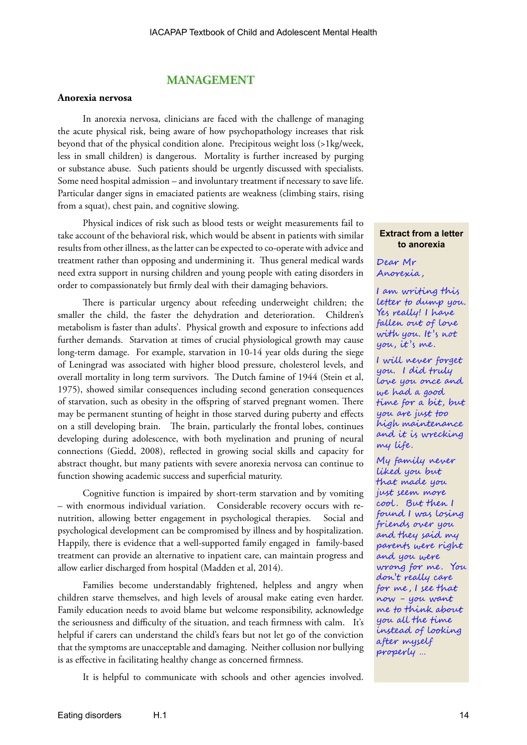# **MANAGEMENT**

#### **Anorexia nervosa**

In anorexia nervosa, clinicians are faced with the challenge of managing the acute physical risk, being aware of how psychopathology increases that risk beyond that of the physical condition alone. Precipitous weight loss (>1kg/week, less in small children) is dangerous. Mortality is further increased by purging or substance abuse. Such patients should be urgently discussed with specialists. Some need hospital admission – and involuntary treatment if necessary to save life. Particular danger signs in emaciated patients are weakness (climbing stairs, rising from a squat), chest pain, and cognitive slowing.

Physical indices of risk such as blood tests or weight measurements fail to take account of the behavioral risk, which would be absent in patients with similar results from other illness, as the latter can be expected to co-operate with advice and treatment rather than opposing and undermining it. Thus general medical wards need extra support in nursing children and young people with eating disorders in order to compassionately but firmly deal with their damaging behaviors.

There is particular urgency about refeeding underweight children; the smaller the child, the faster the dehydration and deterioration. Children's metabolism is faster than adults'. Physical growth and exposure to infections add further demands. Starvation at times of crucial physiological growth may cause long-term damage. For example, starvation in 10-14 year olds during the siege of Leningrad was associated with higher blood pressure, cholesterol levels, and overall mortality in long term survivors. The Dutch famine of 1944 (Stein et al, 1975), showed similar consequences including second generation consequences of starvation, such as obesity in the offspring of starved pregnant women. There may be permanent stunting of height in those starved during puberty and effects on a still developing brain. The brain, particularly the frontal lobes, continues developing during adolescence, with both myelination and pruning of neural connections (Giedd, 2008), reflected in growing social skills and capacity for abstract thought, but many patients with severe anorexia nervosa can continue to function showing academic success and superficial maturity.

Cognitive function is impaired by short-term starvation and by vomiting – with enormous individual variation. Considerable recovery occurs with renutrition, allowing better engagement in psychological therapies. Social and psychological development can be compromised by illness and by hospitalization. Happily, there is evidence that a well-supported family engaged in family-based treatment can provide an alternative to inpatient care, can maintain progress and allow earlier discharged from hospital (Madden et al, 2014).

Families become understandably frightened, helpless and angry when children starve themselves, and high levels of arousal make eating even harder. Family education needs to avoid blame but welcome responsibility, acknowledge the seriousness and difficulty of the situation, and teach firmness with calm. It's helpful if carers can understand the child's fears but not let go of the conviction that the symptoms are unacceptable and damaging. Neither collusion nor bullying is as effective in facilitating healthy change as concerned firmness.

It is helpful to communicate with schools and other agencies involved.

#### **Extract from a letter to anorexia**

Dear Mr Anorexia ,

I am writing this letter to dump you. Yes really! I have fallen out of love with you. It 's not you, it 's me.

I will never forget you. I did truly love you once and we had a good time for a bit, but you are just too high maintenance and it is wrecking my life.

My family never liked you but that made you just seem more cool . But then I found I was losing friends over you and they said my parents were right and you were wrong for me. You don't really care for me , I see that now - you want me to think about you all the time instead of looking after myself properly …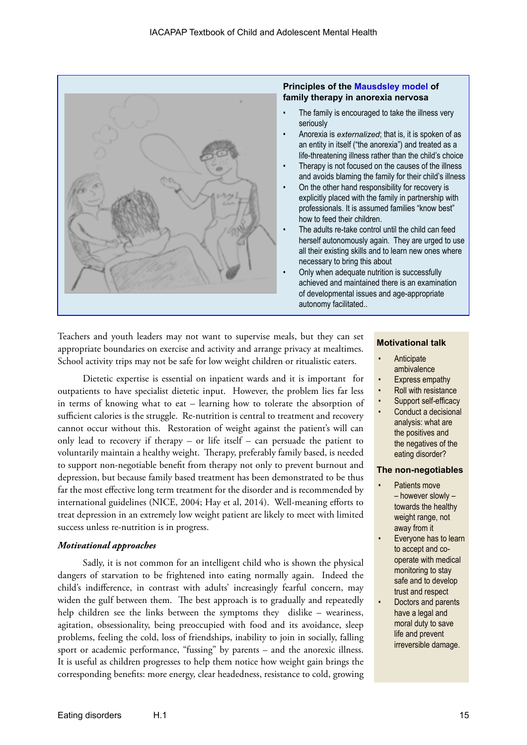

#### **Principles of the [Mausdsley model](http://www.maudsleyparents.org/whatismaudsley.html) of family therapy in anorexia nervosa**

- The family is encouraged to take the illness very seriously
- Anorexia is *externalized*; that is, it is spoken of as an entity in itself ("the anorexia") and treated as a life-threatening illness rather than the child's choice
- Therapy is not focused on the causes of the illness and avoids blaming the family for their child's illness
- On the other hand responsibility for recovery is explicitly placed with the family in partnership with professionals. It is assumed families "know best" how to feed their children.
- The adults re-take control until the child can feed herself autonomously again. They are urged to use all their existing skills and to learn new ones where necessary to bring this about
- Only when adequate nutrition is successfully achieved and maintained there is an examination of developmental issues and age-appropriate autonomy facilitated..

Teachers and youth leaders may not want to supervise meals, but they can set appropriate boundaries on exercise and activity and arrange privacy at mealtimes. School activity trips may not be safe for low weight children or ritualistic eaters.

Dietetic expertise is essential on inpatient wards and it is important for outpatients to have specialist dietetic input. However, the problem lies far less in terms of knowing what to eat – learning how to tolerate the absorption of sufficient calories is the struggle. Re-nutrition is central to treatment and recovery cannot occur without this. Restoration of weight against the patient's will can only lead to recovery if therapy – or life itself – can persuade the patient to voluntarily maintain a healthy weight. Therapy, preferably family based, is needed to support non-negotiable benefit from therapy not only to prevent burnout and depression, but because family based treatment has been demonstrated to be thus far the most effective long term treatment for the disorder and is recommended by international guidelines (NICE, 2004; Hay et al, 2014). Well-meaning efforts to treat depression in an extremely low weight patient are likely to meet with limited success unless re-nutrition is in progress.

## *Motivational approaches*

Sadly, it is not common for an intelligent child who is shown the physical dangers of starvation to be frightened into eating normally again. Indeed the child's indifference, in contrast with adults' increasingly fearful concern, may widen the gulf between them. The best approach is to gradually and repeatedly help children see the links between the symptoms they dislike – weariness, agitation, obsessionality, being preoccupied with food and its avoidance, sleep problems, feeling the cold, loss of friendships, inability to join in socially, falling sport or academic performance, "fussing" by parents – and the anorexic illness. It is useful as children progresses to help them notice how weight gain brings the corresponding benefits: more energy, clear headedness, resistance to cold, growing

#### **Motivational talk**

- **Anticipate** ambivalence
- Express empathy
- Roll with resistance
- Support self-efficacy
- Conduct a decisional analysis: what are the positives and the negatives of the eating disorder?

#### **The non-negotiables**

- Patients move – however slowly – towards the healthy weight range, not away from it
- Everyone has to learn to accept and cooperate with medical monitoring to stay safe and to develop trust and respect
- Doctors and parents have a legal and moral duty to save life and prevent irreversible damage.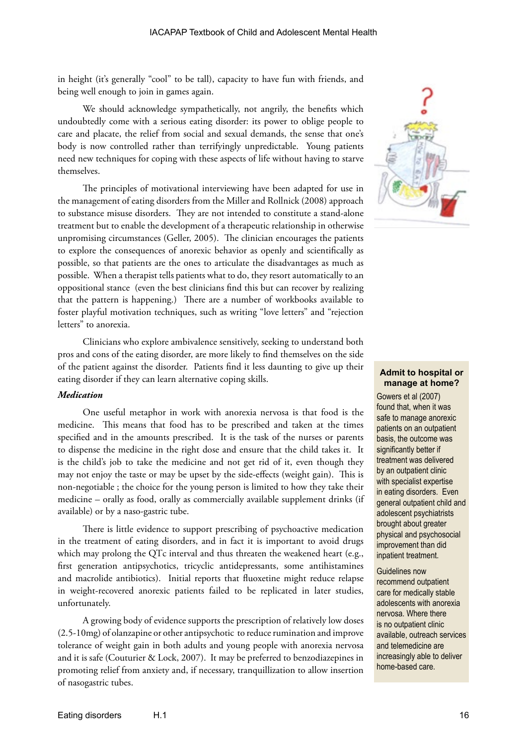in height (it's generally "cool" to be tall), capacity to have fun with friends, and being well enough to join in games again.

We should acknowledge sympathetically, not angrily, the benefits which undoubtedly come with a serious eating disorder: its power to oblige people to care and placate, the relief from social and sexual demands, the sense that one's body is now controlled rather than terrifyingly unpredictable. Young patients need new techniques for coping with these aspects of life without having to starve themselves.

The principles of motivational interviewing have been adapted for use in the management of eating disorders from the Miller and Rollnick (2008) approach to substance misuse disorders. They are not intended to constitute a stand-alone treatment but to enable the development of a therapeutic relationship in otherwise unpromising circumstances (Geller, 2005). The clinician encourages the patients to explore the consequences of anorexic behavior as openly and scientifically as possible, so that patients are the ones to articulate the disadvantages as much as possible. When a therapist tells patients what to do, they resort automatically to an oppositional stance (even the best clinicians find this but can recover by realizing that the pattern is happening.) There are a number of workbooks available to foster playful motivation techniques, such as writing "love letters" and "rejection letters" to anorexia.

Clinicians who explore ambivalence sensitively, seeking to understand both pros and cons of the eating disorder, are more likely to find themselves on the side of the patient against the disorder. Patients find it less daunting to give up their eating disorder if they can learn alternative coping skills.

#### *Medication*

One useful metaphor in work with anorexia nervosa is that food is the medicine. This means that food has to be prescribed and taken at the times specified and in the amounts prescribed. It is the task of the nurses or parents to dispense the medicine in the right dose and ensure that the child takes it. It is the child's job to take the medicine and not get rid of it, even though they may not enjoy the taste or may be upset by the side-effects (weight gain). This is non-negotiable ; the choice for the young person is limited to how they take their medicine – orally as food, orally as commercially available supplement drinks (if available) or by a naso-gastric tube.

There is little evidence to support prescribing of psychoactive medication in the treatment of eating disorders, and in fact it is important to avoid drugs which may prolong the QTc interval and thus threaten the weakened heart (e.g., first generation antipsychotics, tricyclic antidepressants, some antihistamines and macrolide antibiotics). Initial reports that fluoxetine might reduce relapse in weight-recovered anorexic patients failed to be replicated in later studies, unfortunately.

A growing body of evidence supports the prescription of relatively low doses (2.5-10mg) of olanzapine or other antipsychotic to reduce rumination and improve tolerance of weight gain in both adults and young people with anorexia nervosa and it is safe (Couturier & Lock, 2007). It may be preferred to benzodiazepines in promoting relief from anxiety and, if necessary, tranquillization to allow insertion of nasogastric tubes.



#### **Admit to hospital or manage at home?**

Gowers et al (2007) found that, when it was safe to manage anorexic patients on an outpatient basis, the outcome was significantly better if treatment was delivered by an outpatient clinic with specialist expertise in eating disorders. Even general outpatient child and adolescent psychiatrists brought about greater physical and psychosocial improvement than did inpatient treatment.

Guidelines now recommend outpatient care for medically stable adolescents with anorexia nervosa. Where there is no outpatient clinic available, outreach services and telemedicine are increasingly able to deliver home-based care.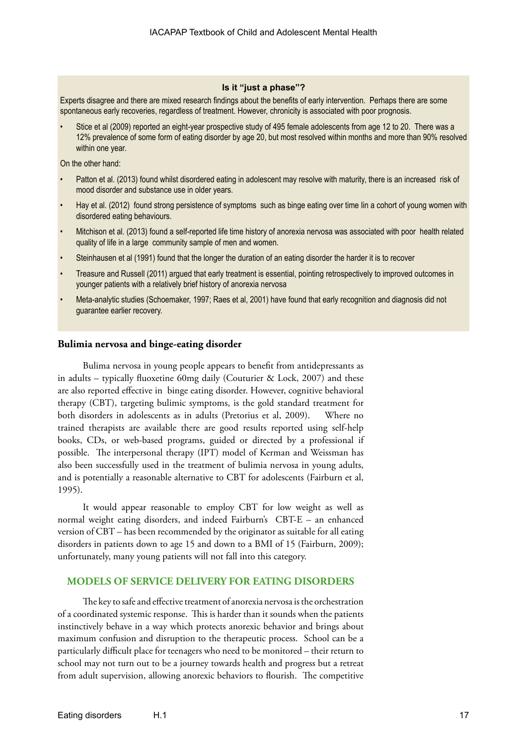#### **Is it "just a phase"?**

Experts disagree and there are mixed research findings about the benefits of early intervention. Perhaps there are some spontaneous early recoveries, regardless of treatment. However, chronicity is associated with poor prognosis.

• Stice et al (2009) reported an eight-year prospective study of 495 female adolescents from age 12 to 20. There was a 12% prevalence of some form of eating disorder by age 20, but most resolved within months and more than 90% resolved within one year.

On the other hand:

- Patton et al. (2013) found whilst disordered eating in adolescent may resolve with maturity, there is an increased risk of mood disorder and substance use in older years.
- Hay et al. (2012) found strong persistence of symptoms such as binge eating over time Iin a cohort of young women with disordered eating behaviours.
- Mitchison et al. (2013) found a self-reported life time history of anorexia nervosa was associated with poor health related quality of life in a large community sample of men and women.
- Steinhausen et al (1991) found that the longer the duration of an eating disorder the harder it is to recover
- Treasure and Russell (2011) argued that early treatment is essential, pointing retrospectively to improved outcomes in younger patients with a relatively brief history of anorexia nervosa
- Meta-analytic studies (Schoemaker, 1997; Raes et al, 2001) have found that early recognition and diagnosis did not guarantee earlier recovery.

#### **Bulimia nervosa and binge-eating disorder**

Bulima nervosa in young people appears to benefit from antidepressants as in adults – typically fluoxetine 60mg daily (Couturier & Lock, 2007) and these are also reported effective in binge eating disorder. However, cognitive behavioral therapy (CBT), targeting bulimic symptoms, is the gold standard treatment for both disorders in adolescents as in adults (Pretorius et al, 2009). Where no trained therapists are available there are good results reported using self-help books, CDs, or web-based programs, guided or directed by a professional if possible. The interpersonal therapy (IPT) model of Kerman and Weissman has also been successfully used in the treatment of bulimia nervosa in young adults, and is potentially a reasonable alternative to CBT for adolescents (Fairburn et al, 1995).

It would appear reasonable to employ CBT for low weight as well as normal weight eating disorders, and indeed Fairburn's CBT-E – an enhanced version of CBT – has been recommended by the originator as suitable for all eating disorders in patients down to age 15 and down to a BMI of 15 (Fairburn, 2009); unfortunately, many young patients will not fall into this category.

#### **MODELS OF SERVICE DELIVERY FOR EATING DISORDERS**

The key to safe and effective treatment of anorexia nervosa is the orchestration of a coordinated systemic response. This is harder than it sounds when the patients instinctively behave in a way which protects anorexic behavior and brings about maximum confusion and disruption to the therapeutic process. School can be a particularly difficult place for teenagers who need to be monitored – their return to school may not turn out to be a journey towards health and progress but a retreat from adult supervision, allowing anorexic behaviors to flourish. The competitive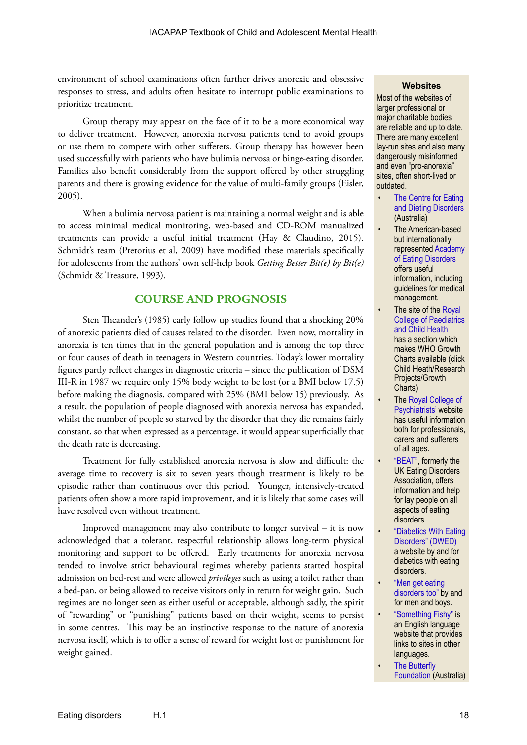environment of school examinations often further drives anorexic and obsessive responses to stress, and adults often hesitate to interrupt public examinations to prioritize treatment.

Group therapy may appear on the face of it to be a more economical way to deliver treatment. However, anorexia nervosa patients tend to avoid groups or use them to compete with other sufferers. Group therapy has however been used successfully with patients who have bulimia nervosa or binge-eating disorder. Families also benefit considerably from the support offered by other struggling parents and there is growing evidence for the value of multi-family groups (Eisler, 2005).

When a bulimia nervosa patient is maintaining a normal weight and is able to access minimal medical monitoring, web-based and CD-ROM manualized treatments can provide a useful initial treatment (Hay & Claudino, 2015). Schmidt's team (Pretorius et al, 2009) have modified these materials specifically for adolescents from the authors' own self-help book *Getting Better Bit(e) by Bit(e)*  (Schmidt & Treasure, 1993).

# **COURSE AND PROGNOSIS**

Sten Theander's (1985) early follow up studies found that a shocking 20% of anorexic patients died of causes related to the disorder. Even now, mortality in anorexia is ten times that in the general population and is among the top three or four causes of death in teenagers in Western countries. Today's lower mortality figures partly reflect changes in diagnostic criteria – since the publication of DSM III-R in 1987 we require only 15% body weight to be lost (or a BMI below 17.5) before making the diagnosis, compared with 25% (BMI below 15) previously. As a result, the population of people diagnosed with anorexia nervosa has expanded, whilst the number of people so starved by the disorder that they die remains fairly constant, so that when expressed as a percentage, it would appear superficially that the death rate is decreasing.

Treatment for fully established anorexia nervosa is slow and difficult: the average time to recovery is six to seven years though treatment is likely to be episodic rather than continuous over this period. Younger, intensively-treated patients often show a more rapid improvement, and it is likely that some cases will have resolved even without treatment.

Improved management may also contribute to longer survival – it is now acknowledged that a tolerant, respectful relationship allows long-term physical monitoring and support to be offered. Early treatments for anorexia nervosa tended to involve strict behavioural regimes whereby patients started hospital admission on bed-rest and were allowed *privileges* such as using a toilet rather than a bed-pan, or being allowed to receive visitors only in return for weight gain. Such regimes are no longer seen as either useful or acceptable, although sadly, the spirit of "rewarding" or "punishing" patients based on their weight, seems to persist in some centres. This may be an instinctive response to the nature of anorexia nervosa itself, which is to offer a sense of reward for weight lost or punishment for weight gained.

#### **Websites**

Most of the websites of larger professional or major charitable bodies are reliable and up to date. There are many excellent lay-run sites and also many dangerously misinformed and even "pro-anorexia" sites, often short-lived or outdated.

- The Centre for Eating [and Dieting Disorders](http://www.cedd.org.au/?id=1)  (Australia)
- The American-based but internationally represented [Academy](www.aedweb.org)  [of Eating Disorders](www.aedweb.org) offers useful information, including guidelines for medical management.
- The site of the Royal [College of Paediatrics](www.rcpch.ac.uk)  [and Child Health](www.rcpch.ac.uk) has a section which makes WHO Growth Charts available (click Child Heath/Research Projects/Growth Charts)
- The [Royal College of](http://www.rcpsych.ac.uk/workinpsychiatry/faculties/eatingdisorders/resourcesforprofessionals.aspx)  [Psychiatrists'](http://www.rcpsych.ac.uk/workinpsychiatry/faculties/eatingdisorders/resourcesforprofessionals.aspx) website has useful information both for professionals, carers and sufferers of all ages.
- ["BEAT",](http://www.b-eat.co.uk/) formerly the UK Eating Disorders Association, offers information and help for lay people on all aspects of eating disorders.
- ["Diabetics With Eating](http://www.dwed.org.uk/)  [Disorders" \(DWED\)](http://www.dwed.org.uk/) a website by and for diabetics with eating disorders.
- ["Men get eating](http://mengeteatingdisorderstoo.tumblr.com/)  [disorders too"](http://mengeteatingdisorderstoo.tumblr.com/) by and for men and boys.
- ["Something Fishy"](http://www.something-fishy.org/) is an English language website that provides links to sites in other languages.
- **The Butterfly** [Foundation](http://thebutterflyfoundation.org.au/) (Australia)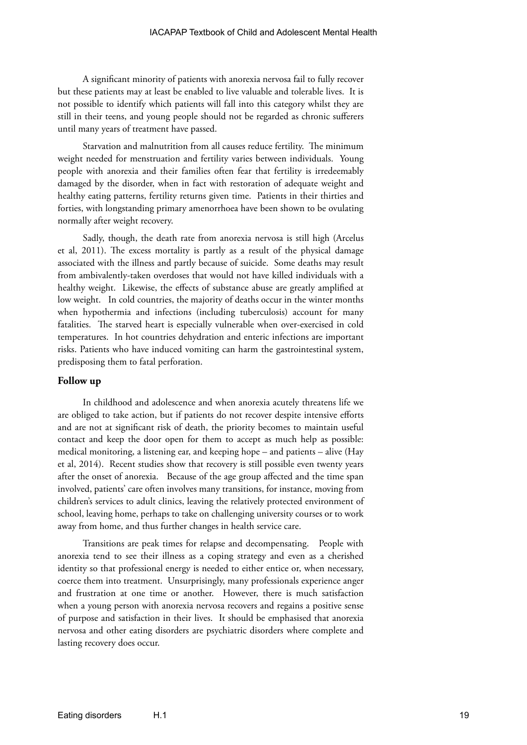#### IACAPAP Textbook of Child and Adolescent Mental Health

A significant minority of patients with anorexia nervosa fail to fully recover but these patients may at least be enabled to live valuable and tolerable lives. It is not possible to identify which patients will fall into this category whilst they are still in their teens, and young people should not be regarded as chronic sufferers until many years of treatment have passed.

Starvation and malnutrition from all causes reduce fertility. The minimum weight needed for menstruation and fertility varies between individuals. Young people with anorexia and their families often fear that fertility is irredeemably damaged by the disorder, when in fact with restoration of adequate weight and healthy eating patterns, fertility returns given time. Patients in their thirties and forties, with longstanding primary amenorrhoea have been shown to be ovulating normally after weight recovery.

Sadly, though, the death rate from anorexia nervosa is still high (Arcelus et al, 2011). The excess mortality is partly as a result of the physical damage associated with the illness and partly because of suicide. Some deaths may result from ambivalently-taken overdoses that would not have killed individuals with a healthy weight. Likewise, the effects of substance abuse are greatly amplified at low weight. In cold countries, the majority of deaths occur in the winter months when hypothermia and infections (including tuberculosis) account for many fatalities. The starved heart is especially vulnerable when over-exercised in cold temperatures. In hot countries dehydration and enteric infections are important risks. Patients who have induced vomiting can harm the gastrointestinal system, predisposing them to fatal perforation.

#### **Follow up**

In childhood and adolescence and when anorexia acutely threatens life we are obliged to take action, but if patients do not recover despite intensive efforts and are not at significant risk of death, the priority becomes to maintain useful contact and keep the door open for them to accept as much help as possible: medical monitoring, a listening ear, and keeping hope – and patients – alive (Hay et al, 2014). Recent studies show that recovery is still possible even twenty years after the onset of anorexia. Because of the age group affected and the time span involved, patients' care often involves many transitions, for instance, moving from children's services to adult clinics, leaving the relatively protected environment of school, leaving home, perhaps to take on challenging university courses or to work away from home, and thus further changes in health service care.

Transitions are peak times for relapse and decompensating. People with anorexia tend to see their illness as a coping strategy and even as a cherished identity so that professional energy is needed to either entice or, when necessary, coerce them into treatment. Unsurprisingly, many professionals experience anger and frustration at one time or another. However, there is much satisfaction when a young person with anorexia nervosa recovers and regains a positive sense of purpose and satisfaction in their lives. It should be emphasised that anorexia nervosa and other eating disorders are psychiatric disorders where complete and lasting recovery does occur.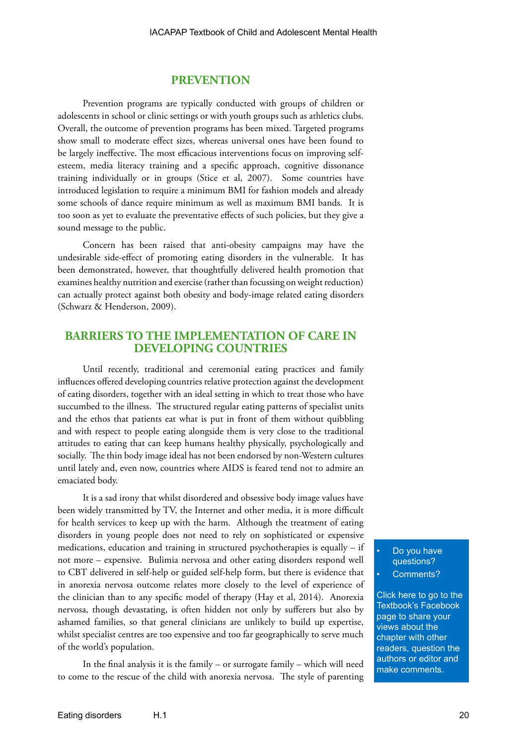#### **PREVENTION**

Prevention programs are typically conducted with groups of children or adolescents in school or clinic settings or with youth groups such as athletics clubs. Overall, the outcome of prevention programs has been mixed. Targeted programs show small to moderate effect sizes, whereas universal ones have been found to be largely ineffective. The most efficacious interventions focus on improving selfesteem, media literacy training and a specific approach, cognitive dissonance training individually or in groups (Stice et al, 2007). Some countries have introduced legislation to require a minimum BMI for fashion models and already some schools of dance require minimum as well as maximum BMI bands. It is too soon as yet to evaluate the preventative effects of such policies, but they give a sound message to the public.

Concern has been raised that anti-obesity campaigns may have the undesirable side-effect of promoting eating disorders in the vulnerable. It has been demonstrated, however, that thoughtfully delivered health promotion that examines healthy nutrition and exercise (rather than focussing on weight reduction) can actually protect against both obesity and body-image related eating disorders (Schwarz & Henderson, 2009).

# **BARRIERS TO THE IMPLEMENTATION OF CARE IN DEVELOPING COUNTRIES**

Until recently, traditional and ceremonial eating practices and family influences offered developing countries relative protection against the development of eating disorders, together with an ideal setting in which to treat those who have succumbed to the illness. The structured regular eating patterns of specialist units and the ethos that patients eat what is put in front of them without quibbling and with respect to people eating alongside them is very close to the traditional attitudes to eating that can keep humans healthy physically, psychologically and socially. The thin body image ideal has not been endorsed by non-Western cultures until lately and, even now, countries where AIDS is feared tend not to admire an emaciated body.

It is a sad irony that whilst disordered and obsessive body image values have been widely transmitted by TV, the Internet and other media, it is more difficult for health services to keep up with the harm. Although the treatment of eating disorders in young people does not need to rely on sophisticated or expensive medications, education and training in structured psychotherapies is equally – if not more – expensive. Bulimia nervosa and other eating disorders respond well to CBT delivered in self-help or guided self-help form, but there is evidence that in anorexia nervosa outcome relates more closely to the level of experience of the clinician than to any specific model of therapy (Hay et al, 2014). Anorexia nervosa, though devastating, is often hidden not only by sufferers but also by ashamed families, so that general clinicians are unlikely to build up expertise, whilst specialist centres are too expensive and too far geographically to serve much of the world's population.

In the final analysis it is the family – or surrogate family – which will need to come to the rescue of the child with anorexia nervosa. The style of parenting

Do you have questions? Comments?

[Click here to go to the](https://www.facebook.com/pages/IACAPAP-Textbook-of-Child-and-Adolescent-Mental-Health/249690448525378)  Textbook's Facebook page to share your views about the chapter with other readers, question the authors or editor and make comments.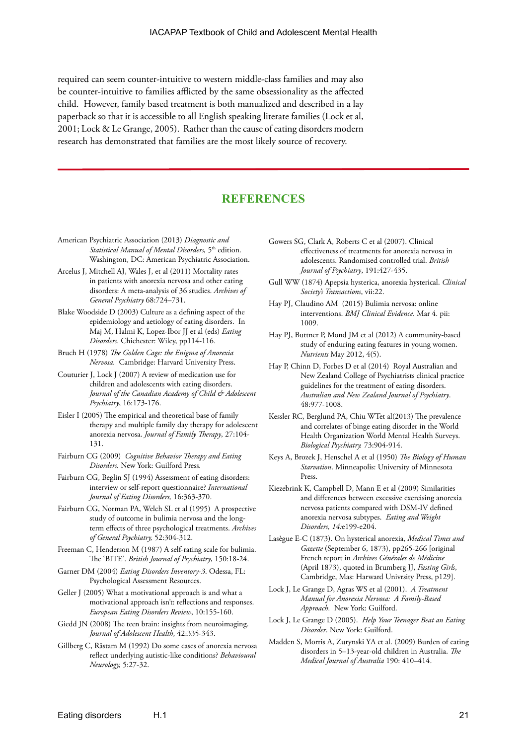required can seem counter-intuitive to western middle-class families and may also be counter-intuitive to families afflicted by the same obsessionality as the affected child. However, family based treatment is both manualized and described in a lay paperback so that it is accessible to all English speaking literate families (Lock et al, 2001; Lock & Le Grange, 2005). Rather than the cause of eating disorders modern research has demonstrated that families are the most likely source of recovery.

# **REFERENCES**

- American Psychiatric Association (2013) *Diagnostic and Statistical Manual of Mental Disorders,* 5th edition. Washington, DC: American Psychiatric Association.
- Arcelus J, Mitchell AJ, Wales J, et al (2011) Mortality rates in patients with anorexia nervosa and other eating disorders: A meta-analysis of 36 studies. *Archives of General Psychiatry* 68:724–731.
- Blake Woodside D (2003) Culture as a defining aspect of the epidemiology and aetiology of eating disorders. In Maj M, Halmi K, Lopez-Ibor JJ et al (eds) *Eating Disorders*. Chichester: Wiley, pp114-116.
- Bruch H (1978) *The Golden Cage: the Enigma of Anorexia Nervosa.* Cambridge: Harvard University Press.
- Couturier J, Lock J (2007) A review of medication use for children and adolescents with eating disorders. *Journal of the Canadian Academy of Child & Adolescent Psychiatry*, 16:173-176.
- Eisler I (2005) The empirical and theoretical base of family therapy and multiple family day therapy for adolescent anorexia nervosa. *Journal of Family Therapy*, 27:104- 131.
- Fairburn CG (2009) *Cognitive Behavior Therapy and Eating Disorders.* New York: Guilford Press*.*
- Fairburn CG, Beglin SJ (1994) Assessment of eating disorders: interview or self-report questionnaire? *International Journal of Eating Disorders,* 16:363-370.
- Fairburn CG, Norman PA, Welch SL et al (1995) A prospective study of outcome in bulimia nervosa and the longterm effects of three psychological treatments. *Archives of General Psychiatry,* 52:304-312.
- Freeman C, Henderson M (1987) A self-rating scale for bulimia. The 'BITE'. *British Journal of Psychiatry*, 150:18-24.
- Garner DM (2004) *Eating Disorders Inventory-3*. Odessa, FL: Psychological Assessment Resources.
- Geller J (2005) What a motivational approach is and what a motivational approach isn't: reflections and responses. *European Eating Disorders Review*, 10:155-160.
- Giedd JN (2008) The teen brain: insights from neuroimaging. *Journal of Adolescent Health*, 42:335-343.
- Gillberg C, Råstam M (1992) Do some cases of anorexia nervosa reflect underlying autistic-like conditions? *Behavioural Neurology,* 5:27-32.
- Gowers SG, Clark A, Roberts C et al (2007). Clinical effectiveness of treatments for anorexia nervosa in adolescents. Randomised controlled trial. *British Journal of Psychiatry*, 191:427-435.
- Gull WW (1874) Apepsia hysterica, anorexia hysterical. *Clinical Society's Transactions*, vii:22.
- Hay PJ, Claudino AM (2015) Bulimia nervosa: online interventions. *BMJ Clinical Evidence*. Mar 4. pii: 1009.
- Hay PJ, Buttner P, Mond JM et al (2012) A community-based study of enduring eating features in young women. *Nutrients* May 2012, 4(5).
- Hay P, Chinn D, Forbes D et al (2014) Royal Australian and New Zealand College of Psychiatrists clinical practice guidelines for the treatment of eating disorders. *Australian and New Zealand Journal of Psychiatry*. 48:977-1008.
- Kessler RC, Berglund PA, Chiu WTet al(2013) The prevalence and correlates of binge eating disorder in the World Health Organization World Mental Health Surveys. *Biological Psychiatry.* 73:904-914.
- Keys A, Brozek J, Henschel A et al (1950) *The Biology of Human Starvation*. Minneapolis: University of Minnesota Press.
- Kiezebrink K, Campbell D, Mann E et al (2009) Similarities and differences between excessive exercising anorexia nervosa patients compared with DSM-IV defined anorexia nervosa subtypes. *Eating and Weight Disorders, 14:*e199-e204.
- Lasègue E-C (1873). On hysterical anorexia, *Medical Times and Gazette* (September 6, 1873), pp265-266 [original French report in *Archives Générales de Médicine* (April 1873), quoted in Brumberg JJ, *Fasting Girls*, Cambridge, Mas: Harward Univrsity Press, p129].
- Lock J, Le Grange D, Agras WS et al (2001). *A Treatment Manual for Anorexia Nervosa: A Family-Based Approach.* New York: Guilford.
- Lock J, Le Grange D (2005). *Help Your Teenager Beat an Eating Disorder*. New York: Guilford.
- Madden S, Morris A, Zurynski YA et al. (2009) Burden of eating disorders in 5–13-year-old children in Australia. *The Medical Journal of Australia* 190: 410–414.